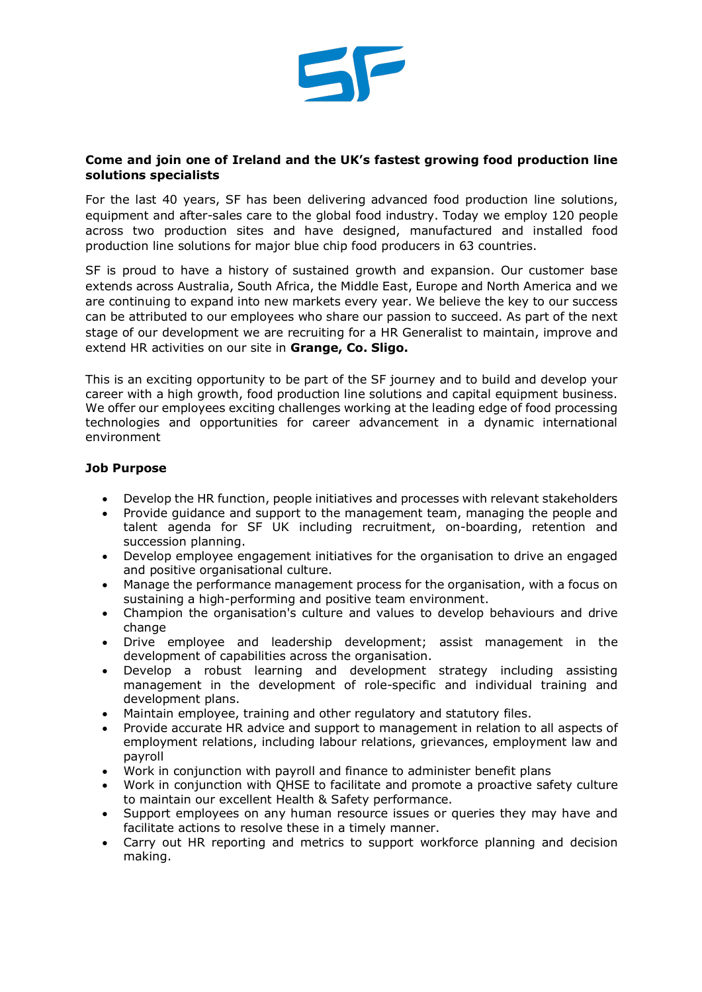

## **Come and join one of Ireland and the UK's fastest growing food production line solutions specialists**

For the last 40 years, SF has been delivering advanced food production line solutions, equipment and after-sales care to the global food industry. Today we employ 120 people across two production sites and have designed, manufactured and installed food production line solutions for major blue chip food producers in 63 countries.

SF is proud to have a history of sustained growth and expansion. Our customer base extends across Australia, South Africa, the Middle East, Europe and North America and we are continuing to expand into new markets every year. We believe the key to our success can be attributed to our employees who share our passion to succeed. As part of the next stage of our development we are recruiting for a HR Generalist to maintain, improve and extend HR activities on our site in **Grange, Co. Sligo.**

This is an exciting opportunity to be part of the SF journey and to build and develop your career with a high growth, food production line solutions and capital equipment business. We offer our employees exciting challenges working at the leading edge of food processing technologies and opportunities for career advancement in a dynamic international environment

## **Job Purpose**

- Develop the HR function, people initiatives and processes with relevant stakeholders
- Provide guidance and support to the management team, managing the people and talent agenda for SF UK including recruitment, on-boarding, retention and succession planning.
- Develop employee engagement initiatives for the organisation to drive an engaged and positive organisational culture.
- Manage the performance management process for the organisation, with a focus on sustaining a high-performing and positive team environment.
- Champion the organisation's culture and values to develop behaviours and drive change
- Drive employee and leadership development; assist management in the development of capabilities across the organisation.
- Develop a robust learning and development strategy including assisting management in the development of role-specific and individual training and development plans.
- Maintain employee, training and other regulatory and statutory files.
- Provide accurate HR advice and support to management in relation to all aspects of employment relations, including labour relations, grievances, employment law and payroll
- Work in conjunction with payroll and finance to administer benefit plans
- Work in conjunction with QHSE to facilitate and promote a proactive safety culture to maintain our excellent Health & Safety performance.
- Support employees on any human resource issues or queries they may have and facilitate actions to resolve these in a timely manner.
- Carry out HR reporting and metrics to support workforce planning and decision making.